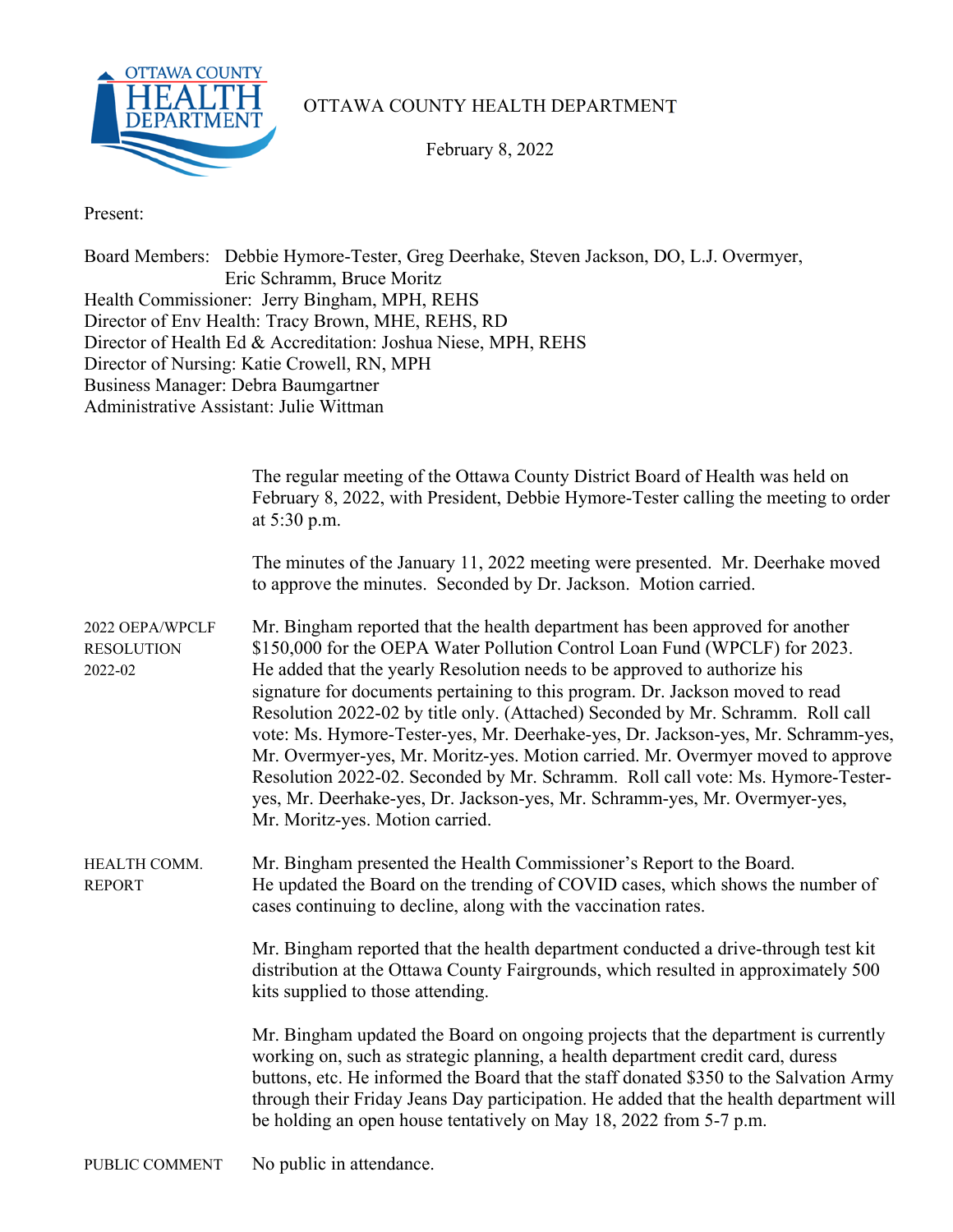

### OTTAWA COUNTY HEALTH DEPARTMENT

February 8, 2022

Present:

Board Members: Debbie Hymore-Tester, Greg Deerhake, Steven Jackson, DO, L.J. Overmyer, Eric Schramm, Bruce Moritz Health Commissioner: Jerry Bingham, MPH, REHS Director of Env Health: Tracy Brown, MHE, REHS, RD Director of Health Ed & Accreditation: Joshua Niese, MPH, REHS Director of Nursing: Katie Crowell, RN, MPH Business Manager: Debra Baumgartner Administrative Assistant: Julie Wittman

|                                                 | The regular meeting of the Ottawa County District Board of Health was held on<br>February 8, 2022, with President, Debbie Hymore-Tester calling the meeting to order<br>at 5:30 p.m.                                                                                                                                                                                                                                                                                                                                                                                                                                                                                                                                                                                                    |
|-------------------------------------------------|-----------------------------------------------------------------------------------------------------------------------------------------------------------------------------------------------------------------------------------------------------------------------------------------------------------------------------------------------------------------------------------------------------------------------------------------------------------------------------------------------------------------------------------------------------------------------------------------------------------------------------------------------------------------------------------------------------------------------------------------------------------------------------------------|
|                                                 | The minutes of the January 11, 2022 meeting were presented. Mr. Deerhake moved<br>to approve the minutes. Seconded by Dr. Jackson. Motion carried.                                                                                                                                                                                                                                                                                                                                                                                                                                                                                                                                                                                                                                      |
| 2022 OEPA/WPCLF<br><b>RESOLUTION</b><br>2022-02 | Mr. Bingham reported that the health department has been approved for another<br>\$150,000 for the OEPA Water Pollution Control Loan Fund (WPCLF) for 2023.<br>He added that the yearly Resolution needs to be approved to authorize his<br>signature for documents pertaining to this program. Dr. Jackson moved to read<br>Resolution 2022-02 by title only. (Attached) Seconded by Mr. Schramm. Roll call<br>vote: Ms. Hymore-Tester-yes, Mr. Deerhake-yes, Dr. Jackson-yes, Mr. Schramm-yes,<br>Mr. Overmyer-yes, Mr. Moritz-yes. Motion carried. Mr. Overmyer moved to approve<br>Resolution 2022-02. Seconded by Mr. Schramm. Roll call vote: Ms. Hymore-Tester-<br>yes, Mr. Deerhake-yes, Dr. Jackson-yes, Mr. Schramm-yes, Mr. Overmyer-yes,<br>Mr. Moritz-yes. Motion carried. |
| HEALTH COMM.<br><b>REPORT</b>                   | Mr. Bingham presented the Health Commissioner's Report to the Board.<br>He updated the Board on the trending of COVID cases, which shows the number of<br>cases continuing to decline, along with the vaccination rates.                                                                                                                                                                                                                                                                                                                                                                                                                                                                                                                                                                |
|                                                 | Mr. Bingham reported that the health department conducted a drive-through test kit<br>distribution at the Ottawa County Fairgrounds, which resulted in approximately 500<br>kits supplied to those attending.                                                                                                                                                                                                                                                                                                                                                                                                                                                                                                                                                                           |
|                                                 | Mr. Bingham updated the Board on ongoing projects that the department is currently<br>working on, such as strategic planning, a health department credit card, duress<br>buttons, etc. He informed the Board that the staff donated \$350 to the Salvation Army<br>through their Friday Jeans Day participation. He added that the health department will<br>be holding an open house tentatively on May 18, 2022 from 5-7 p.m.                                                                                                                                                                                                                                                                                                                                                         |
| PUBLIC COMMENT                                  | No public in attendance.                                                                                                                                                                                                                                                                                                                                                                                                                                                                                                                                                                                                                                                                                                                                                                |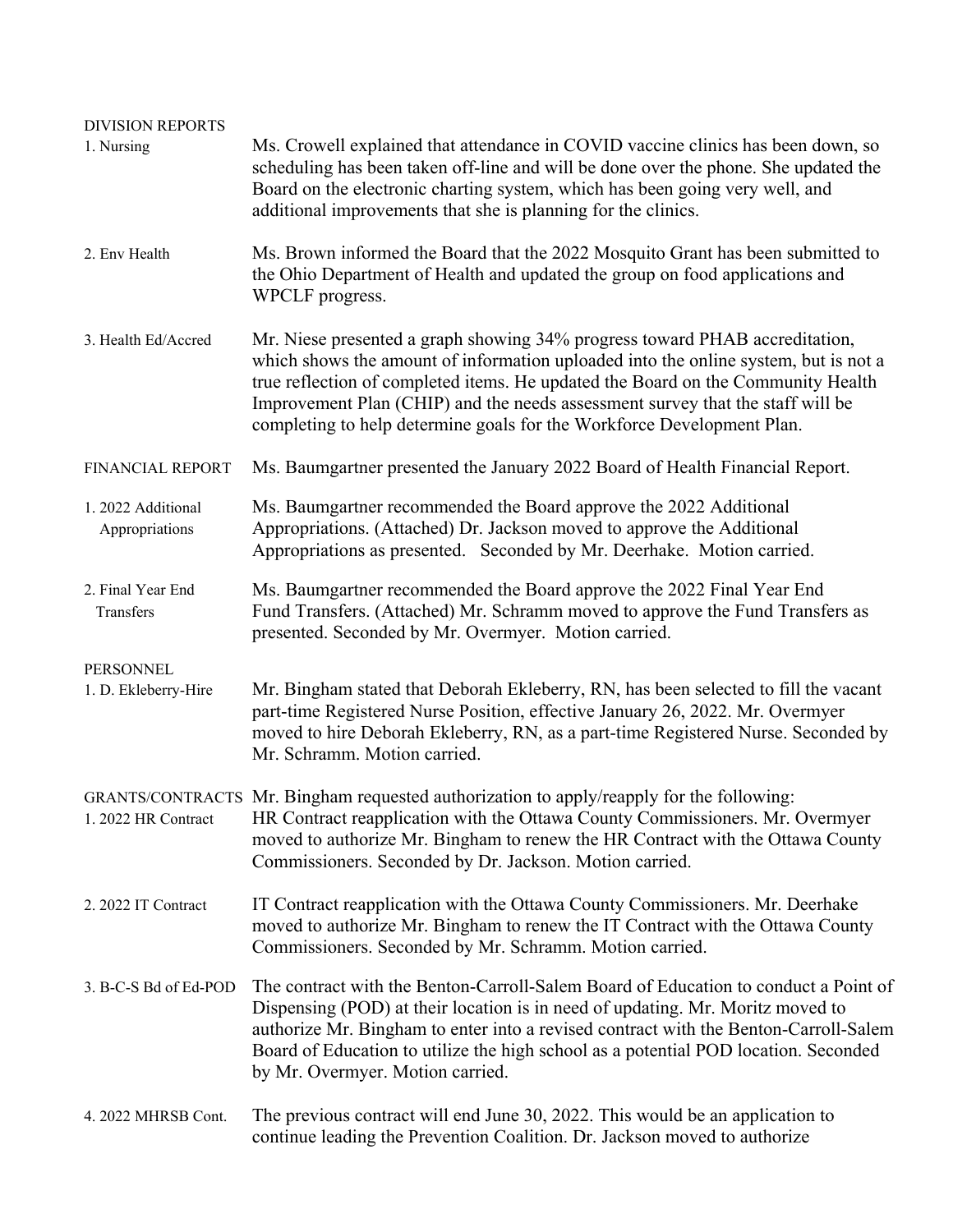| <b>DIVISION REPORTS</b><br>1. Nursing | Ms. Crowell explained that attendance in COVID vaccine clinics has been down, so<br>scheduling has been taken off-line and will be done over the phone. She updated the<br>Board on the electronic charting system, which has been going very well, and<br>additional improvements that she is planning for the clinics.                                                                                           |
|---------------------------------------|--------------------------------------------------------------------------------------------------------------------------------------------------------------------------------------------------------------------------------------------------------------------------------------------------------------------------------------------------------------------------------------------------------------------|
| 2. Env Health                         | Ms. Brown informed the Board that the 2022 Mosquito Grant has been submitted to<br>the Ohio Department of Health and updated the group on food applications and<br>WPCLF progress.                                                                                                                                                                                                                                 |
| 3. Health Ed/Accred                   | Mr. Niese presented a graph showing 34% progress toward PHAB accreditation,<br>which shows the amount of information uploaded into the online system, but is not a<br>true reflection of completed items. He updated the Board on the Community Health<br>Improvement Plan (CHIP) and the needs assessment survey that the staff will be<br>completing to help determine goals for the Workforce Development Plan. |
| FINANCIAL REPORT                      | Ms. Baumgartner presented the January 2022 Board of Health Financial Report.                                                                                                                                                                                                                                                                                                                                       |
| 1. 2022 Additional<br>Appropriations  | Ms. Baumgartner recommended the Board approve the 2022 Additional<br>Appropriations. (Attached) Dr. Jackson moved to approve the Additional<br>Appropriations as presented. Seconded by Mr. Deerhake. Motion carried.                                                                                                                                                                                              |
| 2. Final Year End<br>Transfers        | Ms. Baumgartner recommended the Board approve the 2022 Final Year End<br>Fund Transfers. (Attached) Mr. Schramm moved to approve the Fund Transfers as<br>presented. Seconded by Mr. Overmyer. Motion carried.                                                                                                                                                                                                     |
| PERSONNEL<br>1. D. Ekleberry-Hire     | Mr. Bingham stated that Deborah Ekleberry, RN, has been selected to fill the vacant<br>part-time Registered Nurse Position, effective January 26, 2022. Mr. Overmyer<br>moved to hire Deborah Ekleberry, RN, as a part-time Registered Nurse. Seconded by<br>Mr. Schramm. Motion carried.                                                                                                                          |
| 1. 2022 HR Contract                   | GRANTS/CONTRACTS Mr. Bingham requested authorization to apply/reapply for the following:<br>HR Contract reapplication with the Ottawa County Commissioners. Mr. Overmyer<br>moved to authorize Mr. Bingham to renew the HR Contract with the Ottawa County<br>Commissioners. Seconded by Dr. Jackson. Motion carried.                                                                                              |
| 2. 2022 IT Contract                   | IT Contract reapplication with the Ottawa County Commissioners. Mr. Deerhake<br>moved to authorize Mr. Bingham to renew the IT Contract with the Ottawa County<br>Commissioners. Seconded by Mr. Schramm. Motion carried.                                                                                                                                                                                          |
| 3. B-C-S Bd of Ed-POD                 | The contract with the Benton-Carroll-Salem Board of Education to conduct a Point of<br>Dispensing (POD) at their location is in need of updating. Mr. Moritz moved to<br>authorize Mr. Bingham to enter into a revised contract with the Benton-Carroll-Salem<br>Board of Education to utilize the high school as a potential POD location. Seconded<br>by Mr. Overmyer. Motion carried.                           |
| 4. 2022 MHRSB Cont.                   | The previous contract will end June 30, 2022. This would be an application to<br>continue leading the Prevention Coalition. Dr. Jackson moved to authorize                                                                                                                                                                                                                                                         |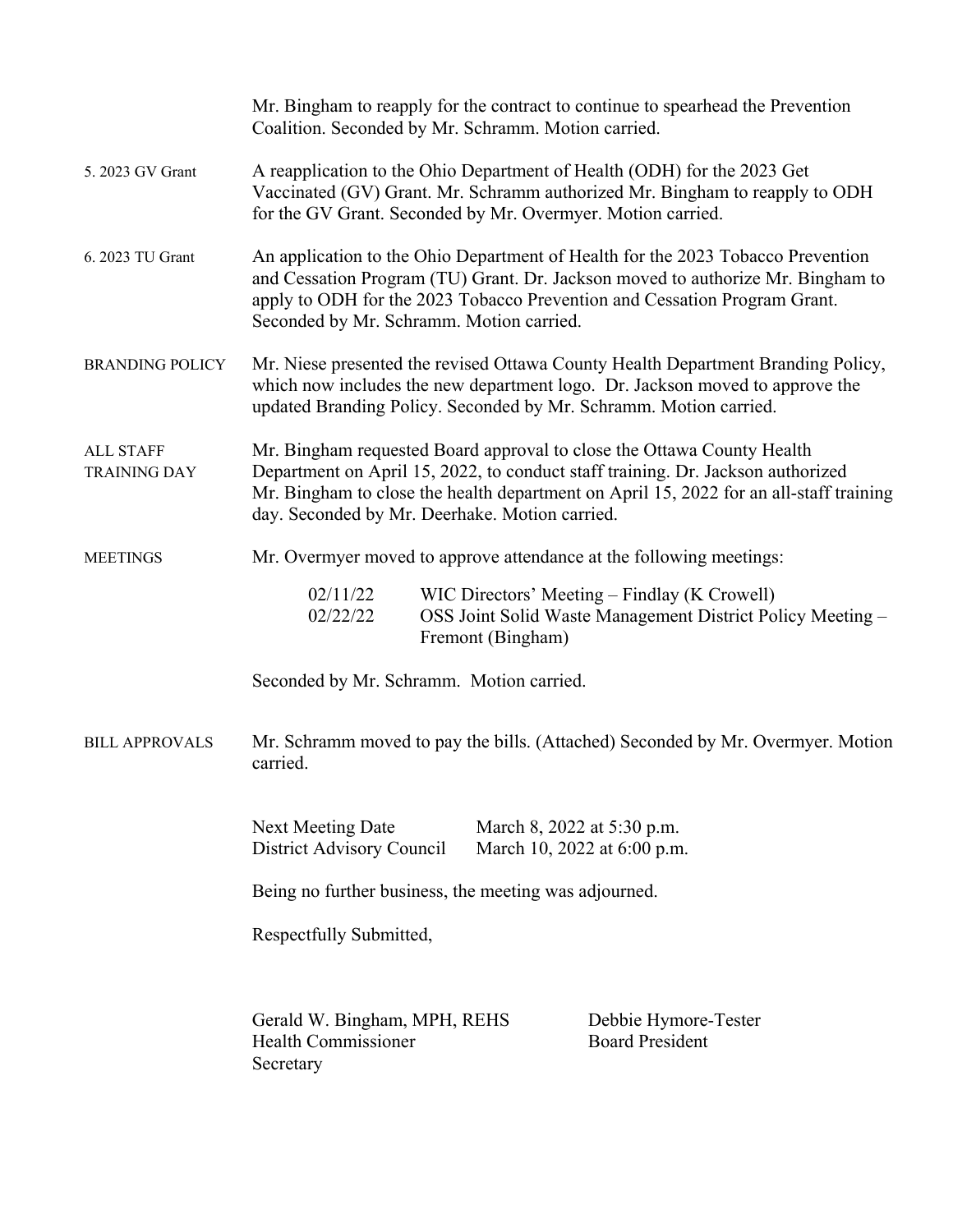|                                         | Mr. Bingham to reapply for the contract to continue to spearhead the Prevention<br>Coalition. Seconded by Mr. Schramm. Motion carried.                                                                                                                                                                |  |  |  |
|-----------------------------------------|-------------------------------------------------------------------------------------------------------------------------------------------------------------------------------------------------------------------------------------------------------------------------------------------------------|--|--|--|
| 5. 2023 GV Grant                        | A reapplication to the Ohio Department of Health (ODH) for the 2023 Get<br>Vaccinated (GV) Grant. Mr. Schramm authorized Mr. Bingham to reapply to ODH<br>for the GV Grant. Seconded by Mr. Overmyer. Motion carried.                                                                                 |  |  |  |
| 6. 2023 TU Grant                        | An application to the Ohio Department of Health for the 2023 Tobacco Prevention<br>and Cessation Program (TU) Grant. Dr. Jackson moved to authorize Mr. Bingham to<br>apply to ODH for the 2023 Tobacco Prevention and Cessation Program Grant.<br>Seconded by Mr. Schramm. Motion carried.           |  |  |  |
| <b>BRANDING POLICY</b>                  | Mr. Niese presented the revised Ottawa County Health Department Branding Policy,<br>which now includes the new department logo. Dr. Jackson moved to approve the<br>updated Branding Policy. Seconded by Mr. Schramm. Motion carried.                                                                 |  |  |  |
| <b>ALL STAFF</b><br><b>TRAINING DAY</b> | Mr. Bingham requested Board approval to close the Ottawa County Health<br>Department on April 15, 2022, to conduct staff training. Dr. Jackson authorized<br>Mr. Bingham to close the health department on April 15, 2022 for an all-staff training<br>day. Seconded by Mr. Deerhake. Motion carried. |  |  |  |
| <b>MEETINGS</b>                         | Mr. Overmyer moved to approve attendance at the following meetings:                                                                                                                                                                                                                                   |  |  |  |
|                                         | 02/11/22<br>WIC Directors' Meeting – Findlay (K Crowell)<br>OSS Joint Solid Waste Management District Policy Meeting -<br>02/22/22<br>Fremont (Bingham)                                                                                                                                               |  |  |  |
|                                         | Seconded by Mr. Schramm. Motion carried.                                                                                                                                                                                                                                                              |  |  |  |
| <b>BILL APPROVALS</b>                   | Mr. Schramm moved to pay the bills. (Attached) Seconded by Mr. Overmyer. Motion<br>carried.                                                                                                                                                                                                           |  |  |  |
|                                         | Next Meeting Date<br>March 8, 2022 at 5:30 p.m.<br>District Advisory Council<br>March 10, 2022 at 6:00 p.m.                                                                                                                                                                                           |  |  |  |
|                                         | Being no further business, the meeting was adjourned.                                                                                                                                                                                                                                                 |  |  |  |
|                                         | Respectfully Submitted,                                                                                                                                                                                                                                                                               |  |  |  |
|                                         | Gerald W. Bingham, MPH, REHS<br>Debbie Hymore-Tester<br><b>Board President</b><br><b>Health Commissioner</b><br>Secretary                                                                                                                                                                             |  |  |  |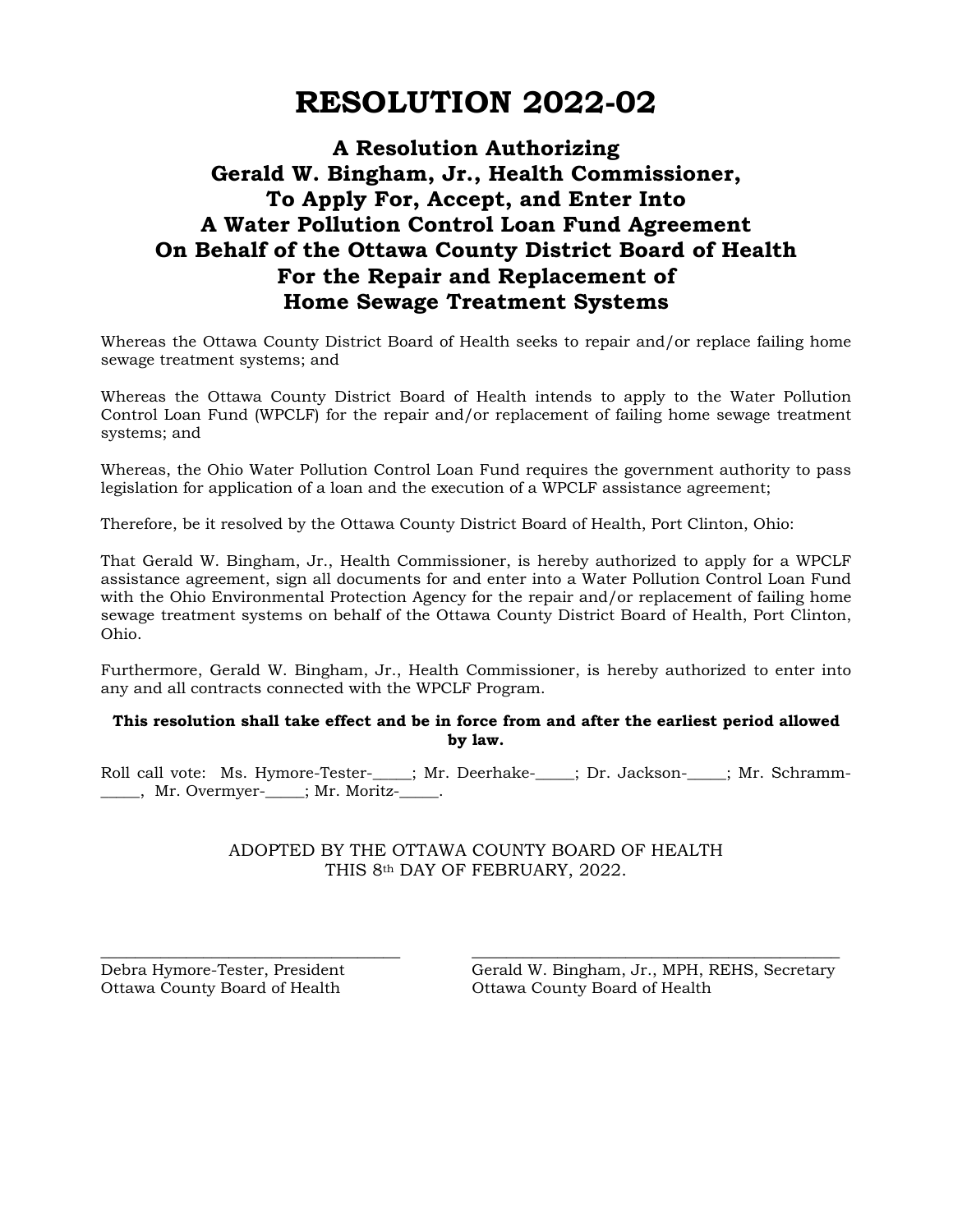# **RESOLUTION 2022-02**

## **A Resolution Authorizing Gerald W. Bingham, Jr., Health Commissioner, To Apply For, Accept, and Enter Into A Water Pollution Control Loan Fund Agreement On Behalf of the Ottawa County District Board of Health For the Repair and Replacement of Home Sewage Treatment Systems**

Whereas the Ottawa County District Board of Health seeks to repair and/or replace failing home sewage treatment systems; and

Whereas the Ottawa County District Board of Health intends to apply to the Water Pollution Control Loan Fund (WPCLF) for the repair and/or replacement of failing home sewage treatment systems; and

Whereas, the Ohio Water Pollution Control Loan Fund requires the government authority to pass legislation for application of a loan and the execution of a WPCLF assistance agreement;

Therefore, be it resolved by the Ottawa County District Board of Health, Port Clinton, Ohio:

That Gerald W. Bingham, Jr., Health Commissioner, is hereby authorized to apply for a WPCLF assistance agreement, sign all documents for and enter into a Water Pollution Control Loan Fund with the Ohio Environmental Protection Agency for the repair and/or replacement of failing home sewage treatment systems on behalf of the Ottawa County District Board of Health, Port Clinton, Ohio.

Furthermore, Gerald W. Bingham, Jr., Health Commissioner, is hereby authorized to enter into any and all contracts connected with the WPCLF Program.

#### **This resolution shall take effect and be in force from and after the earliest period allowed by law.**

Roll call vote: Ms. Hymore-Tester-\_\_\_\_; Mr. Deerhake-\_\_\_\_; Dr. Jackson-\_\_\_\_; Mr. Schramm-\_\_\_\_\_\_, Mr. Overmyer-\_\_\_\_\_; Mr. Moritz-\_\_\_\_\_.

#### ADOPTED BY THE OTTAWA COUNTY BOARD OF HEALTH THIS 8th DAY OF FEBRUARY, 2022.

\_\_\_\_\_\_\_\_\_\_\_\_\_\_\_\_\_\_\_\_\_\_\_\_\_\_\_\_\_\_\_\_\_\_\_ \_\_\_\_\_\_\_\_\_\_\_\_\_\_\_\_\_\_\_\_\_\_\_\_\_\_\_\_\_\_\_\_\_\_\_\_\_\_\_\_\_\_\_

Debra Hymore-Tester, President Gerald W. Bingham, Jr., MPH, REHS, Secretary Ottawa County Board of Health Ottawa County Board of Health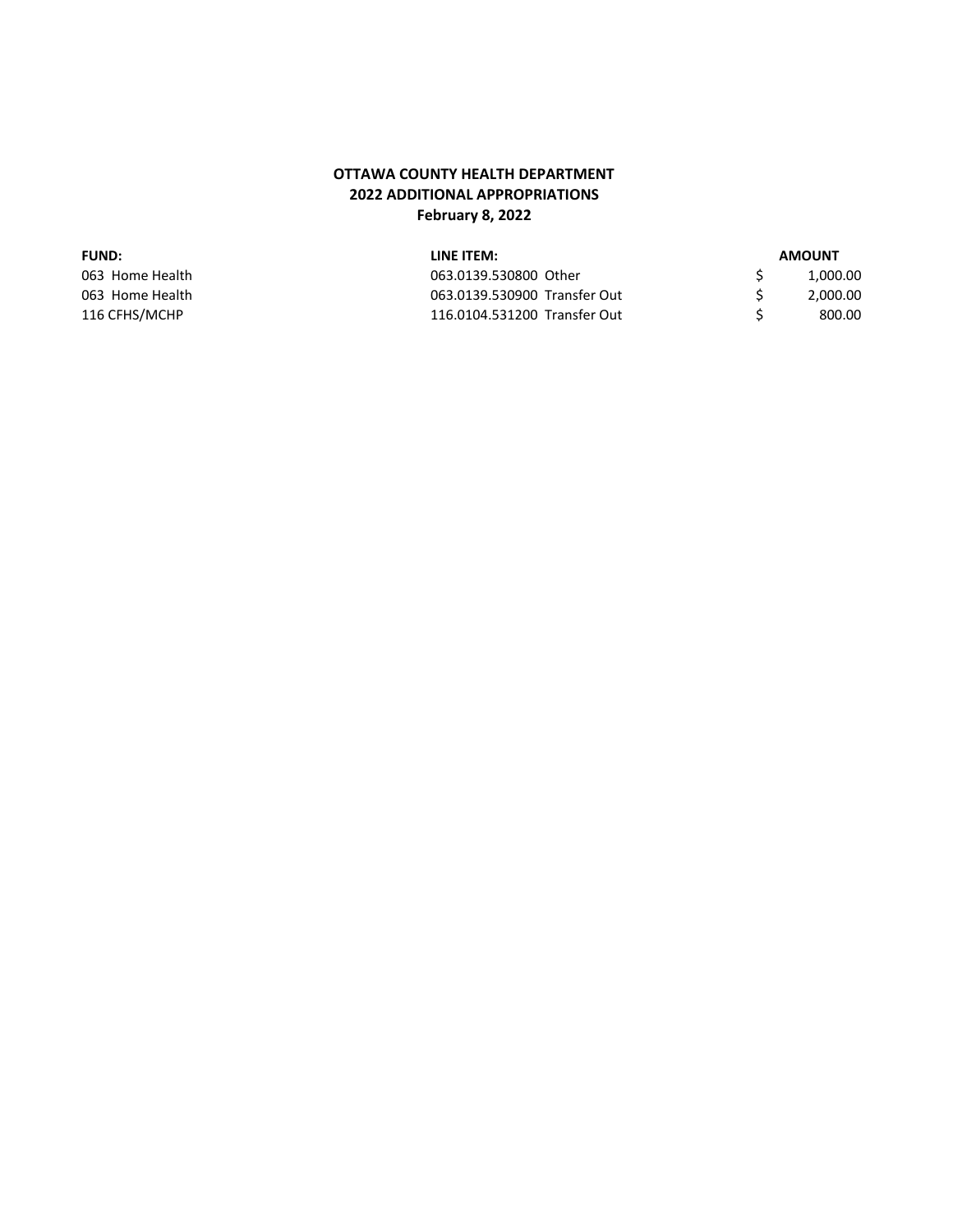#### **OTTAWA COUNTY HEALTH DEPARTMENT 2022 ADDITIONAL APPROPRIATIONS February 8, 2022**

#### **FUND:** LINE ITEM:

| AMOUNT |  |
|--------|--|
|--------|--|

| 063 Home Health | 063.0139.530800 Other        | 1,000.00 |
|-----------------|------------------------------|----------|
| 063 Home Health | 063.0139.530900 Transfer Out | 2,000.00 |
| 116 CFHS/MCHP   | 116.0104.531200 Transfer Out | 800.00   |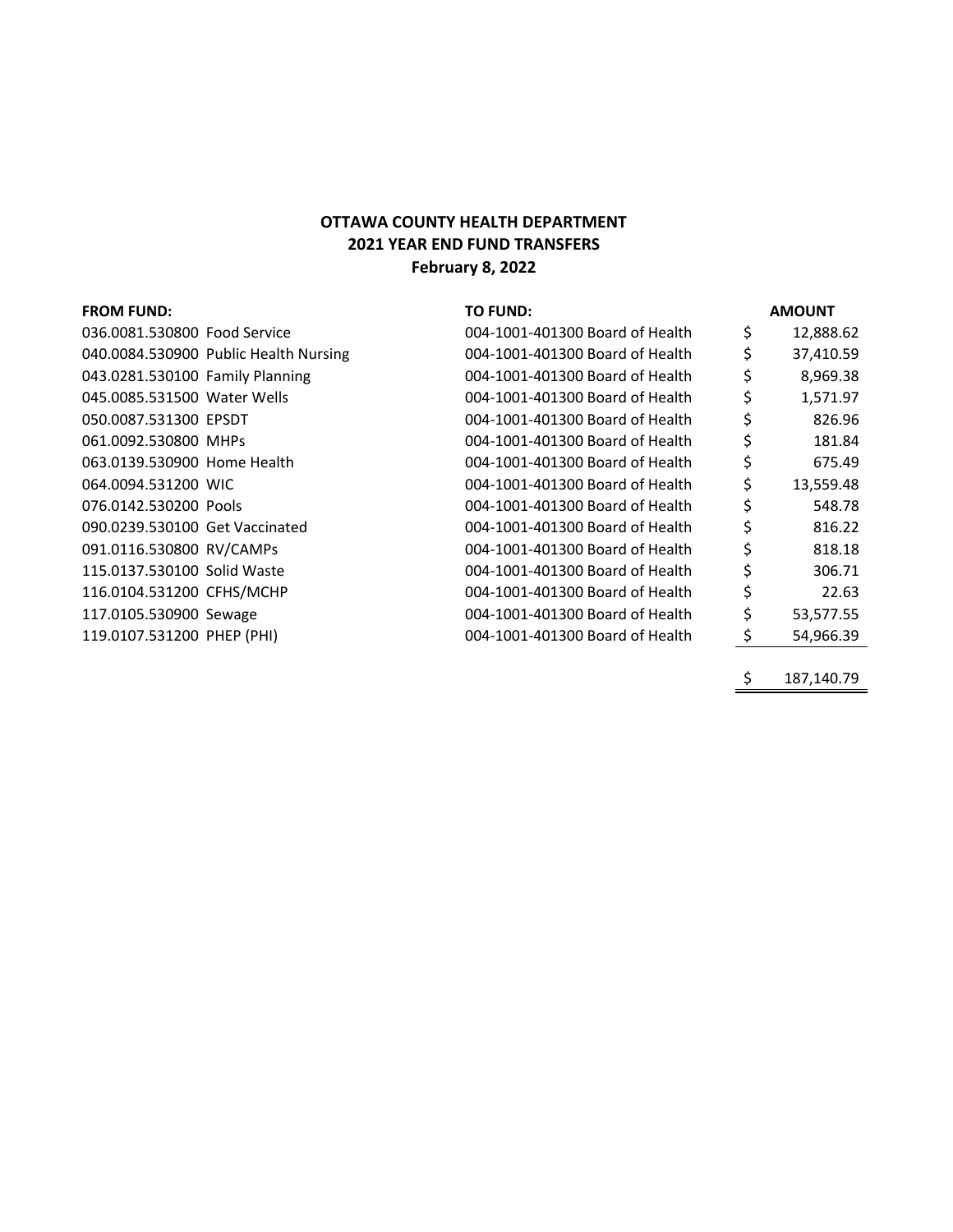### **OTTAWA COUNTY HEALTH DEPARTMENT 2021 YEAR END FUND TRANSFERS February 8, 2022**

| <b>FROM FUND:</b>               |                                       | <b>TO FUND:</b>                 |    | <b>AMOUNT</b> |
|---------------------------------|---------------------------------------|---------------------------------|----|---------------|
| 036.0081.530800 Food Service    |                                       | 004-1001-401300 Board of Health | \$ | 12,888.62     |
|                                 | 040.0084.530900 Public Health Nursing | 004-1001-401300 Board of Health |    | 37,410.59     |
| 043.0281.530100 Family Planning |                                       | 004-1001-401300 Board of Health |    | 8,969.38      |
| 045.0085.531500 Water Wells     |                                       | 004-1001-401300 Board of Health | \$ | 1,571.97      |
| 050.0087.531300 EPSDT           |                                       | 004-1001-401300 Board of Health | \$ | 826.96        |
| 061.0092.530800 MHPs            |                                       | 004-1001-401300 Board of Health |    | 181.84        |
| 063.0139.530900 Home Health     |                                       | 004-1001-401300 Board of Health | \$ | 675.49        |
| 064.0094.531200 WIC             |                                       | 004-1001-401300 Board of Health | \$ | 13,559.48     |
| 076.0142.530200 Pools           |                                       | 004-1001-401300 Board of Health |    | 548.78        |
| 090.0239.530100 Get Vaccinated  |                                       | 004-1001-401300 Board of Health | \$ | 816.22        |
| 091.0116.530800 RV/CAMPs        |                                       | 004-1001-401300 Board of Health | \$ | 818.18        |
| 115.0137.530100 Solid Waste     |                                       | 004-1001-401300 Board of Health | Ś  | 306.71        |
| 116.0104.531200 CFHS/MCHP       |                                       | 004-1001-401300 Board of Health | \$ | 22.63         |
| 117.0105.530900 Sewage          |                                       | 004-1001-401300 Board of Health | \$ | 53,577.55     |
| 119.0107.531200 PHEP (PHI)      |                                       | 004-1001-401300 Board of Health |    | 54,966.39     |
|                                 |                                       |                                 |    |               |

 $\frac{\$}{}$  187,140.79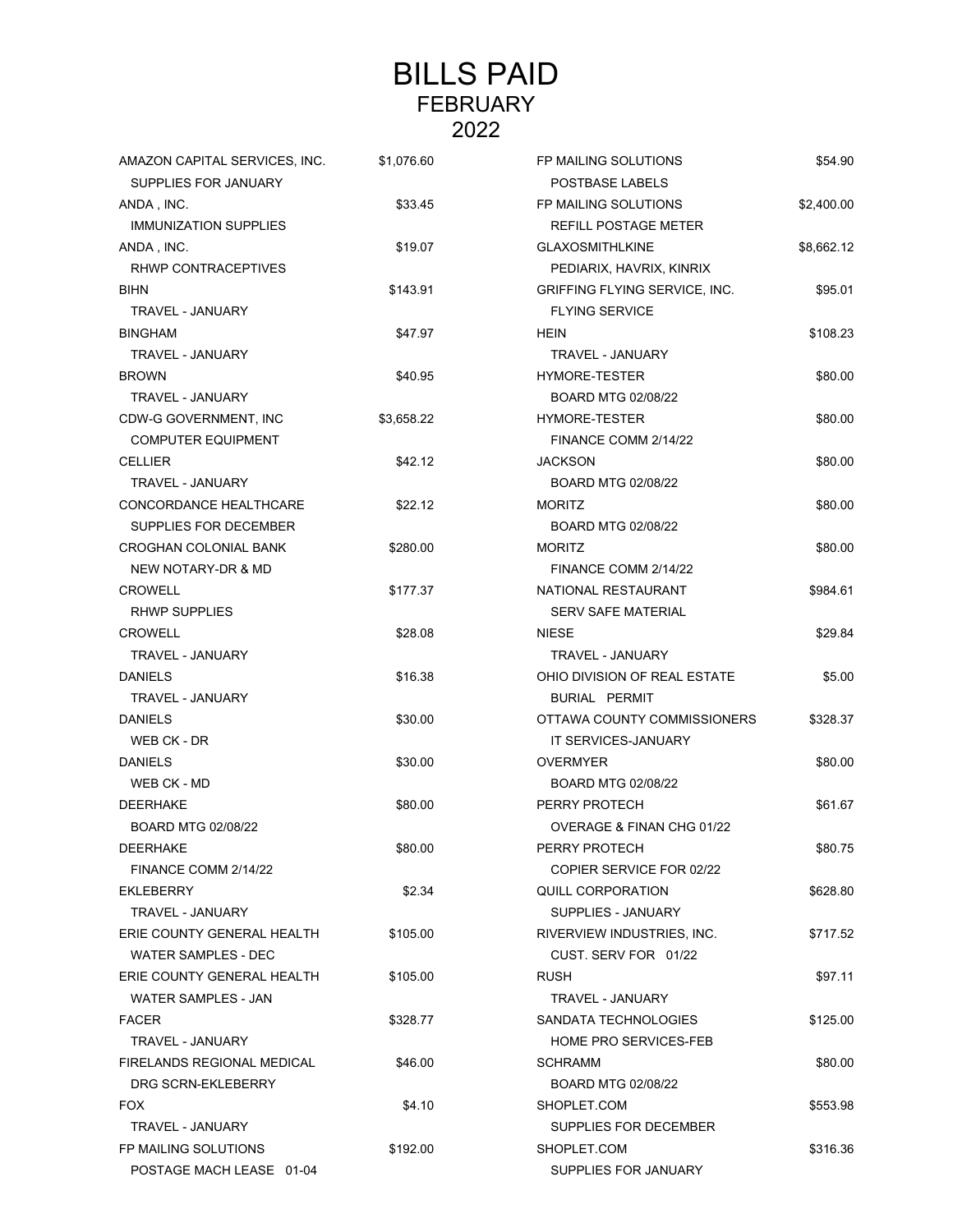# BILLS PAID FEBRUARY 2022

| AMAZON CAPITAL SERVICES, INC. | \$1,076.60 | FP MAILING SOLUTIONS                 | \$54.90    |
|-------------------------------|------------|--------------------------------------|------------|
| SUPPLIES FOR JANUARY          |            | POSTBASE LABELS                      |            |
| ANDA, INC.                    | \$33.45    | FP MAILING SOLUTIONS                 | \$2,400.00 |
| <b>IMMUNIZATION SUPPLIES</b>  |            | REFILL POSTAGE METER                 |            |
| ANDA, INC.                    | \$19.07    | <b>GLAXOSMITHLKINE</b>               | \$8,662.12 |
| RHWP CONTRACEPTIVES           |            | PEDIARIX, HAVRIX, KINRIX             |            |
| <b>BIHN</b>                   | \$143.91   | <b>GRIFFING FLYING SERVICE, INC.</b> | \$95.01    |
| TRAVEL - JANUARY              |            | <b>FLYING SERVICE</b>                |            |
| <b>BINGHAM</b>                | \$47.97    | <b>HEIN</b>                          | \$108.23   |
| TRAVEL - JANUARY              |            | TRAVEL - JANUARY                     |            |
| <b>BROWN</b>                  | \$40.95    | HYMORE-TESTER                        | \$80.00    |
| TRAVEL - JANUARY              |            | BOARD MTG 02/08/22                   |            |
| CDW-G GOVERNMENT, INC         | \$3,658.22 | <b>HYMORE-TESTER</b>                 | \$80.00    |
| <b>COMPUTER EQUIPMENT</b>     |            | FINANCE COMM 2/14/22                 |            |
| <b>CELLIER</b>                | \$42.12    | <b>JACKSON</b>                       | \$80.00    |
| TRAVEL - JANUARY              |            | BOARD MTG 02/08/22                   |            |
| CONCORDANCE HEALTHCARE        | \$22.12    | <b>MORITZ</b>                        | \$80.00    |
| SUPPLIES FOR DECEMBER         |            | BOARD MTG 02/08/22                   |            |
| <b>CROGHAN COLONIAL BANK</b>  | \$280.00   | <b>MORITZ</b>                        | \$80.00    |
| <b>NEW NOTARY-DR &amp; MD</b> |            | FINANCE COMM 2/14/22                 |            |
| <b>CROWELL</b>                | \$177.37   | NATIONAL RESTAURANT                  | \$984.61   |
| <b>RHWP SUPPLIES</b>          |            | <b>SERV SAFE MATERIAL</b>            |            |
| <b>CROWELL</b>                | \$28.08    | <b>NIESE</b>                         | \$29.84    |
| TRAVEL - JANUARY              |            | TRAVEL - JANUARY                     |            |
| <b>DANIELS</b>                | \$16.38    | OHIO DIVISION OF REAL ESTATE         | \$5.00     |
| TRAVEL - JANUARY              |            | BURIAL PERMIT                        |            |
| <b>DANIELS</b>                | \$30.00    | OTTAWA COUNTY COMMISSIONERS          | \$328.37   |
| WEB CK - DR                   |            | IT SERVICES-JANUARY                  |            |
| <b>DANIELS</b>                | \$30.00    | <b>OVERMYER</b>                      | \$80.00    |
| WEB CK - MD                   |            | BOARD MTG 02/08/22                   |            |
| <b>DEERHAKE</b>               | \$80.00    | PERRY PROTECH                        | \$61.67    |
| BOARD MTG 02/08/22            |            | OVERAGE & FINAN CHG 01/22            |            |
| <b>DEERHAKE</b>               | \$80.00    | PERRY PROTECH                        | \$80.75    |
| FINANCE COMM 2/14/22          |            | COPIER SERVICE FOR 02/22             |            |
| EKLEBERRY                     | \$2.34     | QUILL CORPORATION                    | \$628.80   |
| TRAVEL - JANUARY              |            | SUPPLIES - JANUARY                   |            |
| ERIE COUNTY GENERAL HEALTH    | \$105.00   | RIVERVIEW INDUSTRIES, INC.           | \$717.52   |
| <b>WATER SAMPLES - DEC</b>    |            | CUST. SERV FOR 01/22                 |            |
| ERIE COUNTY GENERAL HEALTH    | \$105.00   | <b>RUSH</b>                          | \$97.11    |
| <b>WATER SAMPLES - JAN</b>    |            | TRAVEL - JANUARY                     |            |
| <b>FACER</b>                  | \$328.77   | SANDATA TECHNOLOGIES                 | \$125.00   |
| TRAVEL - JANUARY              |            | HOME PRO SERVICES-FEB                |            |
| FIRELANDS REGIONAL MEDICAL    | \$46.00    | <b>SCHRAMM</b>                       | \$80.00    |
| DRG SCRN-EKLEBERRY            |            | BOARD MTG 02/08/22                   |            |
| <b>FOX</b>                    | \$4.10     | SHOPLET.COM                          | \$553.98   |
| TRAVEL - JANUARY              |            | SUPPLIES FOR DECEMBER                |            |
| FP MAILING SOLUTIONS          | \$192.00   | SHOPLET.COM                          | \$316.36   |
| POSTAGE MACH LEASE 01-04      |            | SUPPLIES FOR JANUARY                 |            |